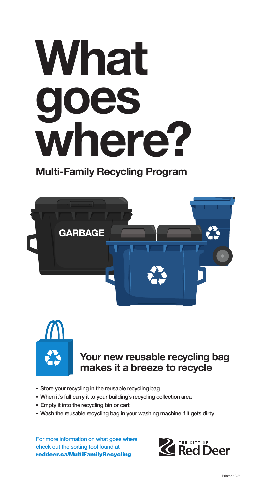

## **Multi-Family Recycling Program**





## **Your new reusable recycling bag makes it a breeze to recycle**

- **▪** Store your recycling in the reusable recycling bag
- **▪** When it's full carry it to your building's recycling collection area
- **▪** Empty it into the recycling bin or cart
- **▪** Wash the reusable recycling bag in your washing machine if it gets dirty

For more information on what goes where check out the sorting tool found at reddeer.ca/MultiFamilyRecycling